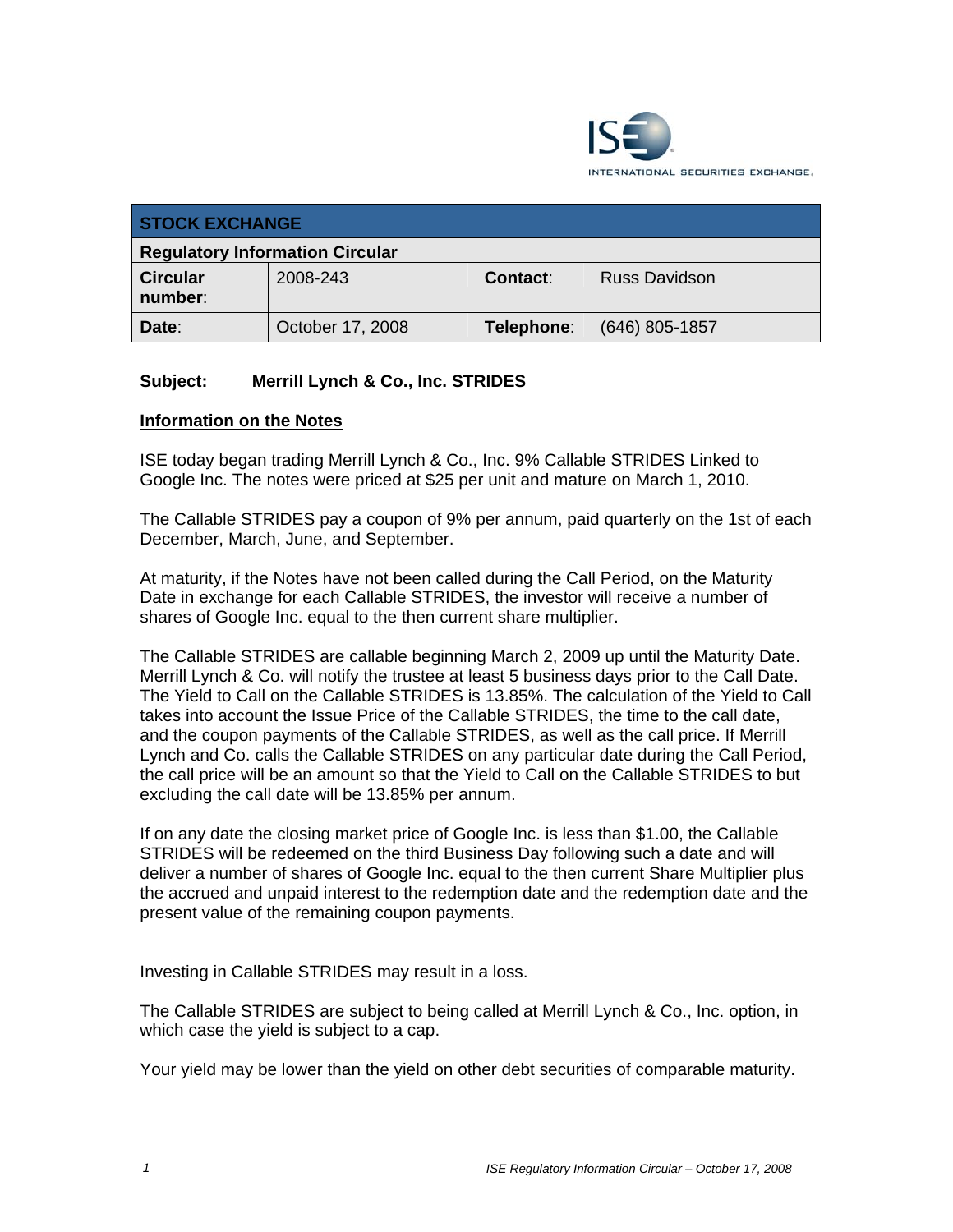

| <b>STOCK EXCHANGE</b>                  |                  |                 |                      |  |
|----------------------------------------|------------------|-----------------|----------------------|--|
| <b>Regulatory Information Circular</b> |                  |                 |                      |  |
| <b>Circular</b><br>number:             | 2008-243         | <b>Contact:</b> | <b>Russ Davidson</b> |  |
| Date:                                  | October 17, 2008 | Telephone:      | $(646)$ 805-1857     |  |

## **Subject: Merrill Lynch & Co., Inc. STRIDES**

### **Information on the Notes**

ISE today began trading Merrill Lynch & Co., Inc. 9% Callable STRIDES Linked to Google Inc. The notes were priced at \$25 per unit and mature on March 1, 2010.

The Callable STRIDES pay a coupon of 9% per annum, paid quarterly on the 1st of each December, March, June, and September.

At maturity, if the Notes have not been called during the Call Period, on the Maturity Date in exchange for each Callable STRIDES, the investor will receive a number of shares of Google Inc. equal to the then current share multiplier.

The Callable STRIDES are callable beginning March 2, 2009 up until the Maturity Date. Merrill Lynch & Co. will notify the trustee at least 5 business days prior to the Call Date. The Yield to Call on the Callable STRIDES is 13.85%. The calculation of the Yield to Call takes into account the Issue Price of the Callable STRIDES, the time to the call date, and the coupon payments of the Callable STRIDES, as well as the call price. If Merrill Lynch and Co. calls the Callable STRIDES on any particular date during the Call Period, the call price will be an amount so that the Yield to Call on the Callable STRIDES to but excluding the call date will be 13.85% per annum.

If on any date the closing market price of Google Inc. is less than \$1.00, the Callable STRIDES will be redeemed on the third Business Day following such a date and will deliver a number of shares of Google Inc. equal to the then current Share Multiplier plus the accrued and unpaid interest to the redemption date and the redemption date and the present value of the remaining coupon payments.

Investing in Callable STRIDES may result in a loss.

The Callable STRIDES are subject to being called at Merrill Lynch & Co., Inc. option, in which case the yield is subject to a cap.

Your yield may be lower than the yield on other debt securities of comparable maturity.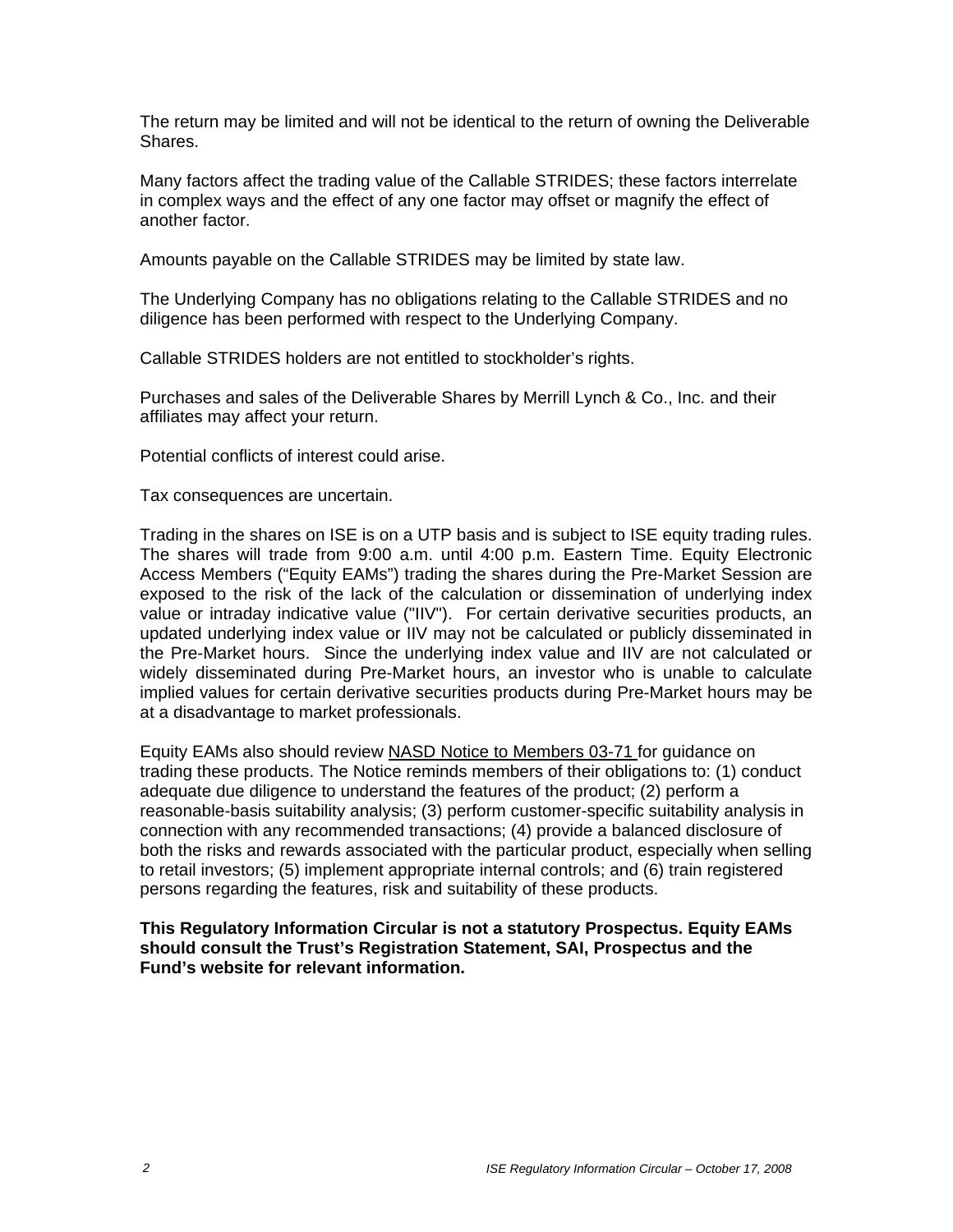The return may be limited and will not be identical to the return of owning the Deliverable Shares.

Many factors affect the trading value of the Callable STRIDES; these factors interrelate in complex ways and the effect of any one factor may offset or magnify the effect of another factor.

Amounts payable on the Callable STRIDES may be limited by state law.

The Underlying Company has no obligations relating to the Callable STRIDES and no diligence has been performed with respect to the Underlying Company.

Callable STRIDES holders are not entitled to stockholder's rights.

Purchases and sales of the Deliverable Shares by Merrill Lynch & Co., Inc. and their affiliates may affect your return.

Potential conflicts of interest could arise.

Tax consequences are uncertain.

Trading in the shares on ISE is on a UTP basis and is subject to ISE equity trading rules. The shares will trade from 9:00 a.m. until 4:00 p.m. Eastern Time. Equity Electronic Access Members ("Equity EAMs") trading the shares during the Pre-Market Session are exposed to the risk of the lack of the calculation or dissemination of underlying index value or intraday indicative value ("IIV"). For certain derivative securities products, an updated underlying index value or IIV may not be calculated or publicly disseminated in the Pre-Market hours. Since the underlying index value and IIV are not calculated or widely disseminated during Pre-Market hours, an investor who is unable to calculate implied values for certain derivative securities products during Pre-Market hours may be at a disadvantage to market professionals.

Equity EAMs also should review NASD Notice to Members 03-71 for guidance on trading these products. The Notice reminds members of their obligations to: (1) conduct adequate due diligence to understand the features of the product; (2) perform a reasonable-basis suitability analysis; (3) perform customer-specific suitability analysis in connection with any recommended transactions; (4) provide a balanced disclosure of both the risks and rewards associated with the particular product, especially when selling to retail investors; (5) implement appropriate internal controls; and (6) train registered persons regarding the features, risk and suitability of these products.

**This Regulatory Information Circular is not a statutory Prospectus. Equity EAMs should consult the Trust's Registration Statement, SAI, Prospectus and the Fund's website for relevant information.**